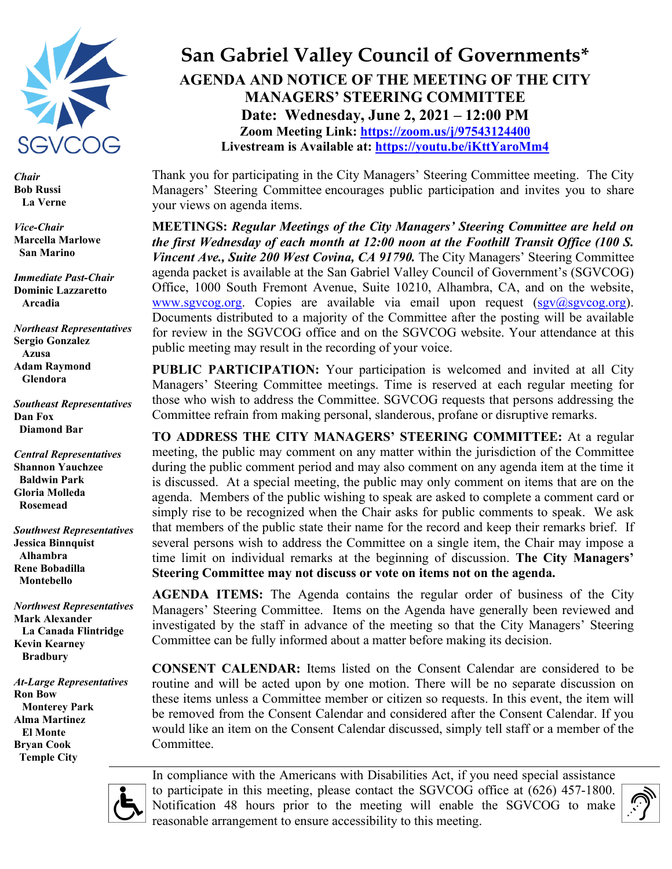

*Chair* **Bob Russi La Verne**

*Vice-Chair*  **Marcella Marlowe San Marino**

*Immediate Past-Chair* **Dominic Lazzaretto Arcadia**

*Northeast Representatives* **Sergio Gonzalez Azusa Adam Raymond Glendora**

*Southeast Representatives* **Dan Fox Diamond Bar**

*Central Representatives* **Shannon Yauchzee Baldwin Park Gloria Molleda Rosemead**

*Southwest Representatives* **Jessica Binnquist Alhambra Rene Bobadilla Montebello**

*Northwest Representatives* **Mark Alexander La Canada Flintridge Kevin Kearney Bradbury**

*At-Large Representatives* **Ron Bow Monterey Park Alma Martinez El Monte Bryan Cook Temple City**

## **San Gabriel Valley Council of Governments\* AGENDA AND NOTICE OF THE MEETING OF THE CITY MANAGERS' STEERING COMMITTEE Date: Wednesday, June 2, 2021 – 12:00 PM Zoom Meeting Link:<https://zoom.us/j/97543124400> Livestream is Available at:<https://youtu.be/iKttYaroMm4>**

Thank you for participating in the City Managers' Steering Committee meeting. The City Managers' Steering Committee encourages public participation and invites you to share your views on agenda items.

**MEETINGS:** *Regular Meetings of the City Managers' Steering Committee are held on the first Wednesday of each month at 12:00 noon at the Foothill Transit Office (100 S. Vincent Ave., Suite 200 West Covina, CA 91790. The City Managers' Steering Committee* agenda packet is available at the San Gabriel Valley Council of Government's (SGVCOG) Office, 1000 South Fremont Avenue, Suite 10210, Alhambra, CA, and on the website, [www.sgvcog.org.](http://www.sgvcog.org/) Copies are available via email upon request  $(sgy@sgvcog.org)$ . Documents distributed to a majority of the Committee after the posting will be available for review in the SGVCOG office and on the SGVCOG website. Your attendance at this public meeting may result in the recording of your voice.

**PUBLIC PARTICIPATION:** Your participation is welcomed and invited at all City Managers' Steering Committee meetings. Time is reserved at each regular meeting for those who wish to address the Committee. SGVCOG requests that persons addressing the Committee refrain from making personal, slanderous, profane or disruptive remarks.

**TO ADDRESS THE CITY MANAGERS' STEERING COMMITTEE:** At a regular meeting, the public may comment on any matter within the jurisdiction of the Committee during the public comment period and may also comment on any agenda item at the time it is discussed. At a special meeting, the public may only comment on items that are on the agenda. Members of the public wishing to speak are asked to complete a comment card or simply rise to be recognized when the Chair asks for public comments to speak. We ask that members of the public state their name for the record and keep their remarks brief. If several persons wish to address the Committee on a single item, the Chair may impose a time limit on individual remarks at the beginning of discussion. **The City Managers' Steering Committee may not discuss or vote on items not on the agenda.** 

**AGENDA ITEMS:** The Agenda contains the regular order of business of the City Managers' Steering Committee. Items on the Agenda have generally been reviewed and investigated by the staff in advance of the meeting so that the City Managers' Steering Committee can be fully informed about a matter before making its decision.

**CONSENT CALENDAR:** Items listed on the Consent Calendar are considered to be routine and will be acted upon by one motion. There will be no separate discussion on these items unless a Committee member or citizen so requests. In this event, the item will be removed from the Consent Calendar and considered after the Consent Calendar. If you would like an item on the Consent Calendar discussed, simply tell staff or a member of the Committee.



In compliance with the Americans with Disabilities Act, if you need special assistance to participate in this meeting, please contact the SGVCOG office at (626) 457-1800. Notification 48 hours prior to the meeting will enable the SGVCOG to make reasonable arrangement to ensure accessibility to this meeting.

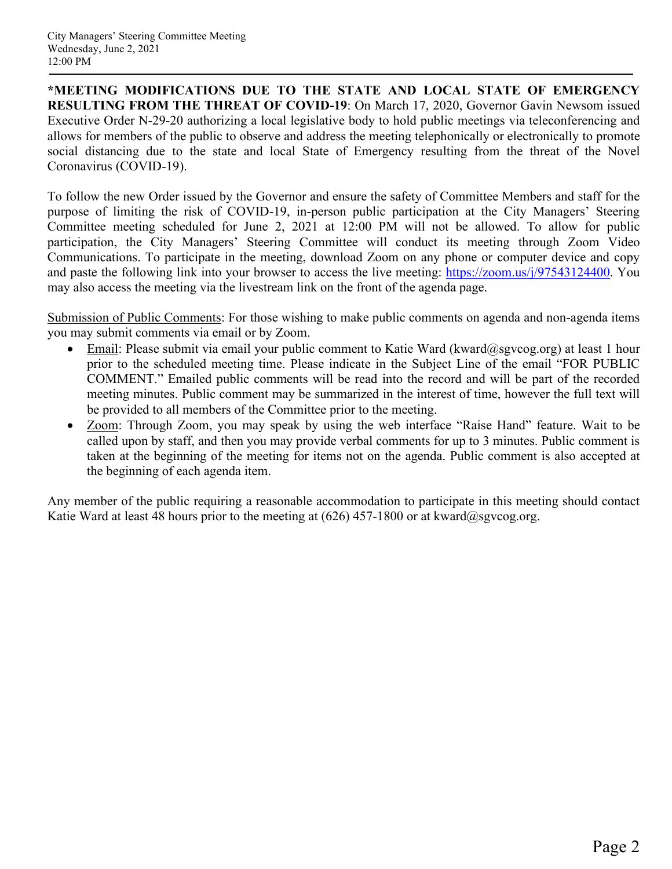**\*MEETING MODIFICATIONS DUE TO THE STATE AND LOCAL STATE OF EMERGENCY RESULTING FROM THE THREAT OF COVID-19**: On March 17, 2020, Governor Gavin Newsom issued Executive Order N-29-20 authorizing a local legislative body to hold public meetings via teleconferencing and allows for members of the public to observe and address the meeting telephonically or electronically to promote social distancing due to the state and local State of Emergency resulting from the threat of the Novel Coronavirus (COVID-19).

To follow the new Order issued by the Governor and ensure the safety of Committee Members and staff for the purpose of limiting the risk of COVID-19, in-person public participation at the City Managers' Steering Committee meeting scheduled for June 2, 2021 at 12:00 PM will not be allowed. To allow for public participation, the City Managers' Steering Committee will conduct its meeting through Zoom Video Communications. To participate in the meeting, download Zoom on any phone or computer device and copy and paste the following link into your browser to access the live meeting: [https://zoom.us/j/97543124400.](https://zoom.us/j/97543124400) You may also access the meeting via the livestream link on the front of the agenda page.

Submission of Public Comments: For those wishing to make public comments on agenda and non-agenda items you may submit comments via email or by Zoom.

- Email: Please submit via email your public comment to Katie Ward (kward@sgvcog.org) at least 1 hour prior to the scheduled meeting time. Please indicate in the Subject Line of the email "FOR PUBLIC COMMENT." Emailed public comments will be read into the record and will be part of the recorded meeting minutes. Public comment may be summarized in the interest of time, however the full text will be provided to all members of the Committee prior to the meeting.
- Zoom: Through Zoom, you may speak by using the web interface "Raise Hand" feature. Wait to be called upon by staff, and then you may provide verbal comments for up to 3 minutes. Public comment is taken at the beginning of the meeting for items not on the agenda. Public comment is also accepted at the beginning of each agenda item.

Any member of the public requiring a reasonable accommodation to participate in this meeting should contact Katie Ward at least 48 hours prior to the meeting at  $(626)$  457-1800 or at kward@sgvcog.org.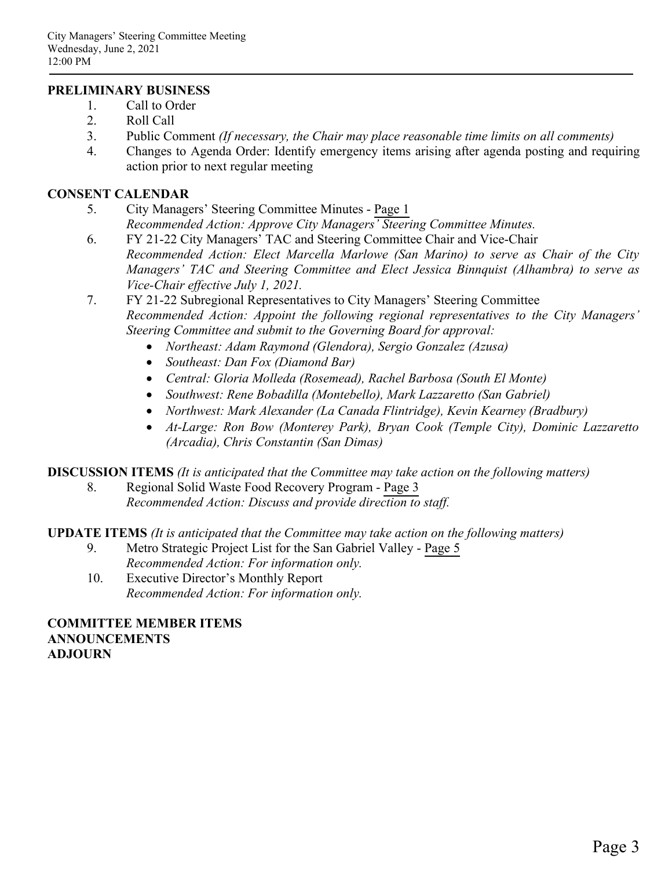## **PRELIMINARY BUSINESS**

- 1. Call to Order
- 2. Roll Call
- 3. Public Comment *(If necessary, the Chair may place reasonable time limits on all comments)*
- 4. Changes to Agenda Order: Identify emergency items arising after agenda posting and requiring action prior to next regular meeting

### **CONSENT CALENDAR**

- 5. City Managers' Steering Committee Minutes - [Page 1](#page-4-0) *Recommended Action: Approve City Managers' Steering Committee Minutes.*
- 6. FY 21-22 City Managers' TAC and Steering Committee Chair and Vice-Chair *Recommended Action: Elect Marcella Marlowe (San Marino) to serve as Chair of the City Managers' TAC and Steering Committee and Elect Jessica Binnquist (Alhambra) to serve as Vice-Chair effective July 1, 2021.*
- 7. FY 21-22 Subregional Representatives to City Managers' Steering Committee *Recommended Action: Appoint the following regional representatives to the City Managers' Steering Committee and submit to the Governing Board for approval:*
	- *Northeast: Adam Raymond (Glendora), Sergio Gonzalez (Azusa)*
	- *Southeast: Dan Fox (Diamond Bar)*
	- *Central: Gloria Molleda (Rosemead), Rachel Barbosa (South El Monte)*
	- *Southwest: Rene Bobadilla (Montebello), Mark Lazzaretto (San Gabriel)*
	- *Northwest: Mark Alexander (La Canada Flintridge), Kevin Kearney (Bradbury)*
	- *At-Large: Ron Bow (Monterey Park), Bryan Cook (Temple City), Dominic Lazzaretto (Arcadia), Chris Constantin (San Dimas)*

**DISCUSSION ITEMS** *(It is anticipated that the Committee may take action on the following matters)*

8. Regional Solid Waste Food Recovery Program - [Page 3](#page-6-0) *Recommended Action: Discuss and provide direction to staff.*

**UPDATE ITEMS** *(It is anticipated that the Committee may take action on the following matters)*

- 9. Metro Strategic Project List for the San Gabriel Valley [Page 5](#page-8-0) *Recommended Action: For information only.*
- 10. Executive Director's Monthly Report *Recommended Action: For information only.*

**COMMITTEE MEMBER ITEMS ANNOUNCEMENTS ADJOURN**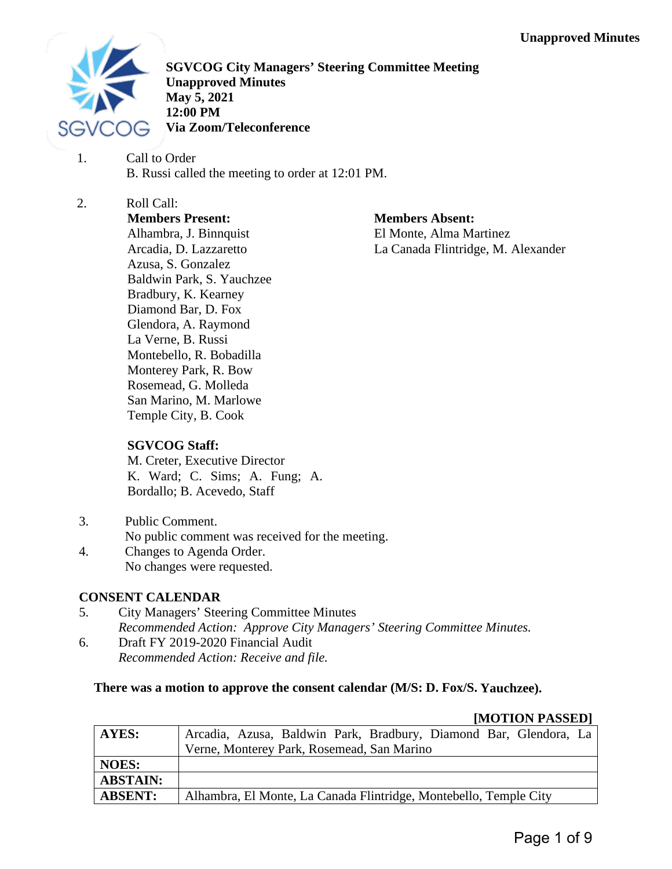<span id="page-4-0"></span>

**SGVCOG City Managers' Steering Committee Meeting Unapproved Minutes May 5, 2021 12:00 PM Via Zoom/Teleconference**

1. Call to Order B. Russi called the meeting to order at 12:01 PM.

2. Roll Call: **Members Present:** Alhambra, J. Binnquist Arcadia, D. Lazzaretto Azusa, S. Gonzalez Baldwin Park, S. Yauchzee Bradbury, K. Kearney Diamond Bar, D. Fox Glendora, A. Raymond La Verne, B. Russi Montebello, R. Bobadilla Monterey Park, R. Bow Rosemead, G. Molleda San Marino, M. Marlowe

**Members Absent:** El Monte, Alma Martinez

La Canada Flintridge, M. Alexander

## **SGVCOG Staff:**

Temple City, B. Cook

M. Creter, Executive Director K. Ward; C. Sims; A. Fung; A. Bordallo; B. Acevedo, Staff

- 3. Public Comment. No public comment was received for the meeting.
- 4. Changes to Agenda Order. No changes were requested.

## **CONSENT CALENDAR**

- 5. City Managers' Steering Committee Minutes *Recommended Action: Approve City Managers' Steering Committee Minutes.*
- 6. Draft FY 2019-2020 Financial Audit *Recommended Action: Receive and file.*

## **There was a motion to approve the consent calendar (M/S: D. Fox/S. Yauchzee).**

#### **[MOTION PASSED]**

| AYES:           | Arcadia, Azusa, Baldwin Park, Bradbury, Diamond Bar, Glendora, La |  |  |  |  |  |
|-----------------|-------------------------------------------------------------------|--|--|--|--|--|
|                 | Verne, Monterey Park, Rosemead, San Marino                        |  |  |  |  |  |
| <b>NOES:</b>    |                                                                   |  |  |  |  |  |
| <b>ABSTAIN:</b> |                                                                   |  |  |  |  |  |
| <b>ABSENT:</b>  | Alhambra, El Monte, La Canada Flintridge, Montebello, Temple City |  |  |  |  |  |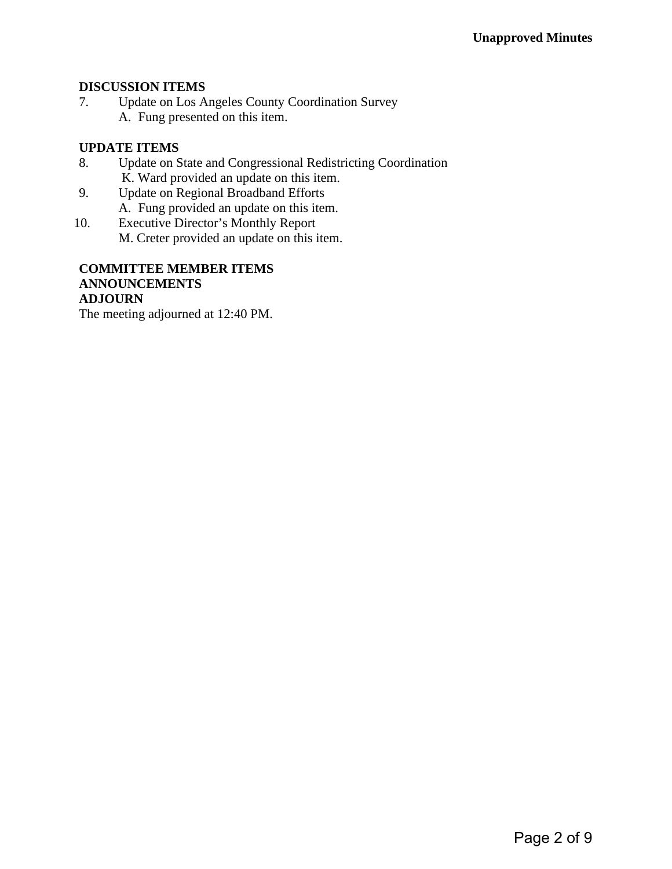## **DISCUSSION ITEMS**

7. Update on Los Angeles County Coordination Survey A. Fung presented on this item.

## **UPDATE ITEMS**

- 8. Update on State and Congressional Redistricting Coordination K. Ward provided an update on this item.
- 9. Update on Regional Broadband Efforts A. Fung provided an update on this item.
- 10. Executive Director's Monthly Report M. Creter provided an update on this item.

#### **COMMITTEE MEMBER ITEMS ANNOUNCEMENTS ADJOURN**

The meeting adjourned at 12:40 PM.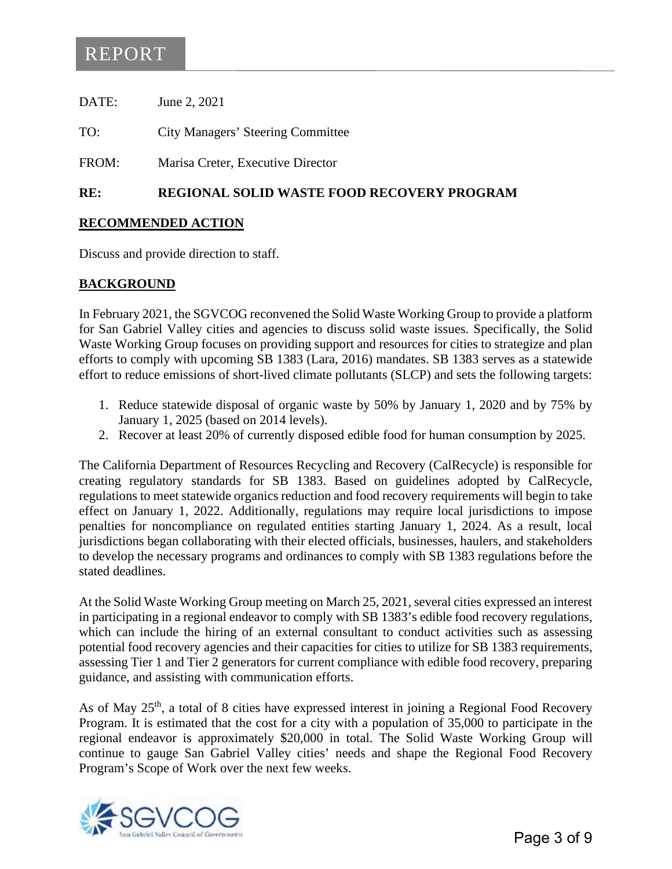## <span id="page-6-0"></span>REPORT

| DATE: | June 2, 2021                             |
|-------|------------------------------------------|
| TO:   | <b>City Managers' Steering Committee</b> |
| FROM: | Marisa Creter, Executive Director        |

## **RE: REGIONAL SOLID WASTE FOOD RECOVERY PROGRAM**

## **RECOMMENDED ACTION**

Discuss and provide direction to staff.

## **BACKGROUND**

In February 2021, the SGVCOG reconvened the Solid Waste Working Group to provide a platform for San Gabriel Valley cities and agencies to discuss solid waste issues. Specifically, the Solid Waste Working Group focuses on providing support and resources for cities to strategize and plan efforts to comply with upcoming SB 1383 (Lara, 2016) mandates. SB 1383 serves as a statewide effort to reduce emissions of short-lived climate pollutants (SLCP) and sets the following targets:

- 1. Reduce statewide disposal of organic waste by 50% by January 1, 2020 and by 75% by January 1, 2025 (based on 2014 levels).
- 2. Recover at least 20% of currently disposed edible food for human consumption by 2025.

The California Department of Resources Recycling and Recovery (CalRecycle) is responsible for creating regulatory standards for SB 1383. Based on guidelines adopted by CalRecycle, regulations to meet statewide organics reduction and food recovery requirements will begin to take effect on January 1, 2022. Additionally, regulations may require local jurisdictions to impose penalties for noncompliance on regulated entities starting January 1, 2024. As a result, local jurisdictions began collaborating with their elected officials, businesses, haulers, and stakeholders to develop the necessary programs and ordinances to comply with SB 1383 regulations before the stated deadlines.

At the Solid Waste Working Group meeting on March 25, 2021, several cities expressed an interest in participating in a regional endeavor to comply with SB 1383's edible food recovery regulations, which can include the hiring of an external consultant to conduct activities such as assessing potential food recovery agencies and their capacities for cities to utilize for SB 1383 requirements, assessing Tier 1 and Tier 2 generators for current compliance with edible food recovery, preparing guidance, and assisting with communication efforts.

As of May  $25<sup>th</sup>$ , a total of 8 cities have expressed interest in joining a Regional Food Recovery Program. It is estimated that the cost for a city with a population of 35,000 to participate in the regional endeavor is approximately \$20,000 in total. The Solid Waste Working Group will continue to gauge San Gabriel Valley cities' needs and shape the Regional Food Recovery Program's Scope of Work over the next few weeks.

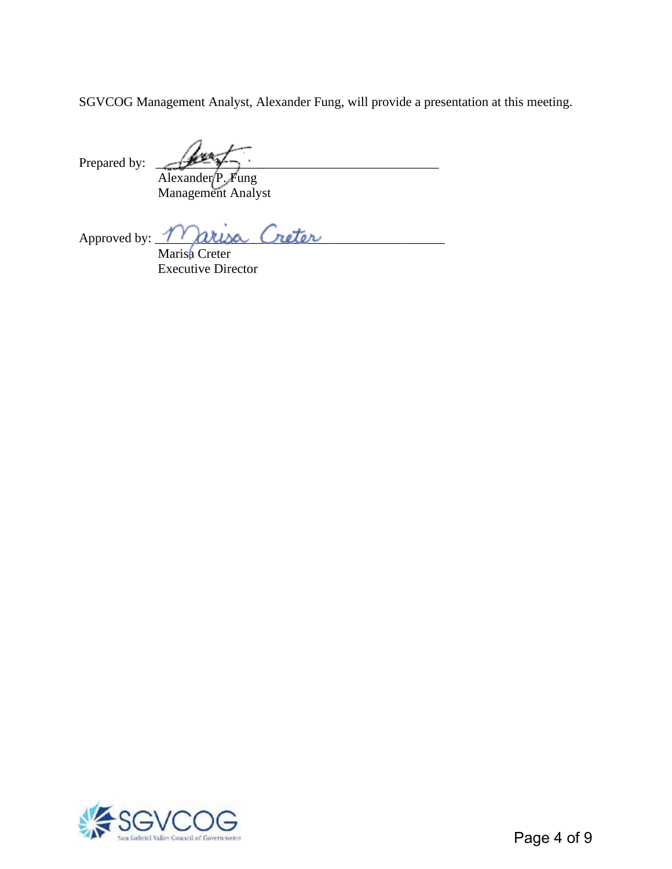SGVCOG Management Analyst, Alexander Fung, will provide a presentation at this meeting.

Prepared by:  $\sqrt{2\pi}$ 

Alexander P. Fung Management Analyst

Approved by: <u>Marisa</u> Creter Marisa Creter

Executive Director

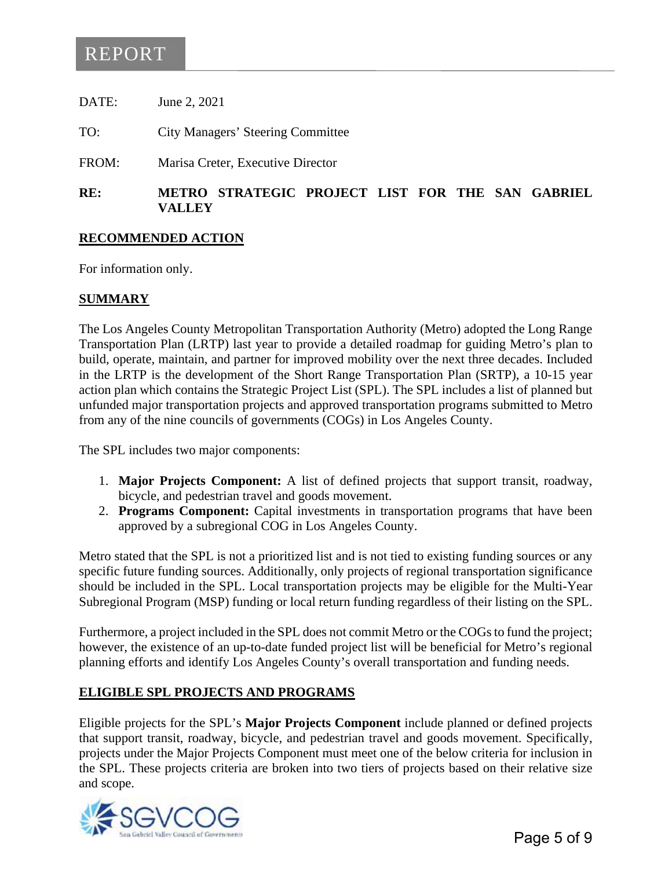# <span id="page-8-0"></span>REPORT

DATE: June 2, 2021

TO: City Managers' Steering Committee

FROM: Marisa Creter, Executive Director

## **RE: METRO STRATEGIC PROJECT LIST FOR THE SAN GABRIEL VALLEY**

### **RECOMMENDED ACTION**

For information only.

## **SUMMARY**

The Los Angeles County Metropolitan Transportation Authority (Metro) adopted the Long Range Transportation Plan (LRTP) last year to provide a detailed roadmap for guiding Metro's plan to build, operate, maintain, and partner for improved mobility over the next three decades. Included in the LRTP is the development of the Short Range Transportation Plan (SRTP), a 10-15 year action plan which contains the Strategic Project List (SPL). The SPL includes a list of planned but unfunded major transportation projects and approved transportation programs submitted to Metro from any of the nine councils of governments (COGs) in Los Angeles County.

The SPL includes two major components:

- 1. **Major Projects Component:** A list of defined projects that support transit, roadway, bicycle, and pedestrian travel and goods movement.
- 2. **Programs Component:** Capital investments in transportation programs that have been approved by a subregional COG in Los Angeles County.

Metro stated that the SPL is not a prioritized list and is not tied to existing funding sources or any specific future funding sources. Additionally, only projects of regional transportation significance should be included in the SPL. Local transportation projects may be eligible for the Multi-Year Subregional Program (MSP) funding or local return funding regardless of their listing on the SPL.

Furthermore, a project included in the SPL does not commit Metro or the COGs to fund the project; however, the existence of an up-to-date funded project list will be beneficial for Metro's regional planning efforts and identify Los Angeles County's overall transportation and funding needs.

## **ELIGIBLE SPL PROJECTS AND PROGRAMS**

Eligible projects for the SPL's **Major Projects Component** include planned or defined projects that support transit, roadway, bicycle, and pedestrian travel and goods movement. Specifically, projects under the Major Projects Component must meet one of the below criteria for inclusion in the SPL. These projects criteria are broken into two tiers of projects based on their relative size and scope.

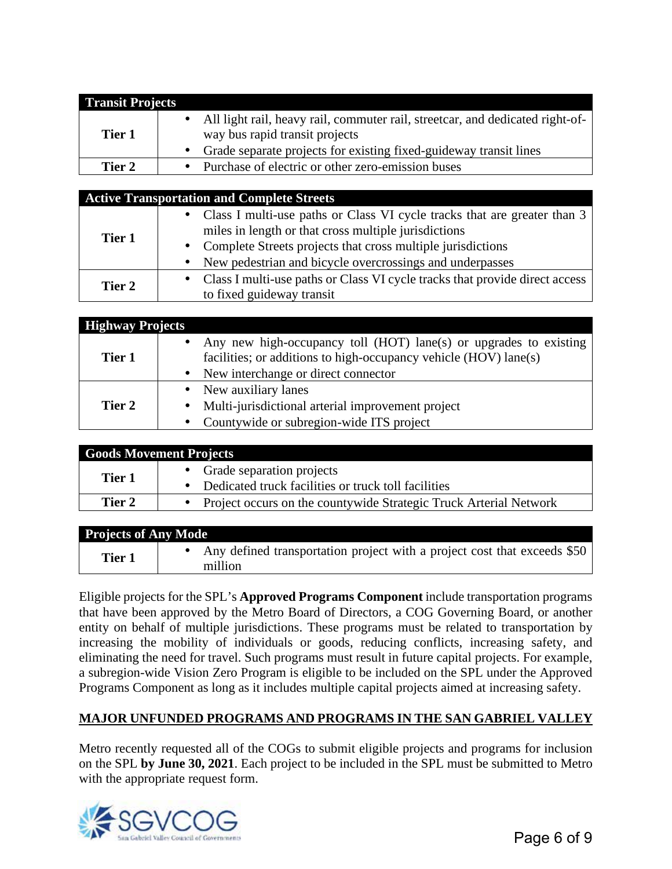| <b>Transit Projects</b> |                                                                                                                 |
|-------------------------|-----------------------------------------------------------------------------------------------------------------|
| Tier 1                  | All light rail, heavy rail, commuter rail, streetcar, and dedicated right-of-<br>way bus rapid transit projects |
|                         | Grade separate projects for existing fixed-guideway transit lines                                               |
| Tier 2                  | Purchase of electric or other zero-emission buses                                                               |

### **Active Transportation and Complete Streets**

| Tier 1 | • Class I multi-use paths or Class VI cycle tracks that are greater than 3  |
|--------|-----------------------------------------------------------------------------|
|        | miles in length or that cross multiple jurisdictions                        |
|        | • Complete Streets projects that cross multiple jurisdictions               |
|        | New pedestrian and bicycle overcrossings and underpasses                    |
| Tier 2 | Class I multi-use paths or Class VI cycle tracks that provide direct access |
|        | to fixed guideway transit                                                   |

| <b>Highway Projects</b> |                                                                                                                                                                                                   |
|-------------------------|---------------------------------------------------------------------------------------------------------------------------------------------------------------------------------------------------|
| Tier 1                  | Any new high-occupancy toll (HOT) lane(s) or upgrades to existing<br>$\bullet$ .<br>facilities; or additions to high-occupancy vehicle (HOV) lane(s)<br>New interchange or direct connector<br>×, |
| Tier 2                  | New auxiliary lanes<br>$\blacksquare$<br>Multi-jurisdictional arterial improvement project<br>$\blacksquare$<br>Countywide or subregion-wide ITS project<br>٠                                     |

|        | <b>Goods Movement Projects</b>                                                       |
|--------|--------------------------------------------------------------------------------------|
| Tier 1 | • Grade separation projects<br>• Dedicated truck facilities or truck toll facilities |
| Tier 2 | • Project occurs on the countywide Strategic Truck Arterial Network                  |

| <b>Projects of Any Mode</b> |                                                                                     |
|-----------------------------|-------------------------------------------------------------------------------------|
| Tier 1                      | Any defined transportation project with a project cost that exceeds \$50<br>million |

Eligible projects for the SPL's **Approved Programs Component** include transportation programs that have been approved by the Metro Board of Directors, a COG Governing Board, or another entity on behalf of multiple jurisdictions. These programs must be related to transportation by increasing the mobility of individuals or goods, reducing conflicts, increasing safety, and eliminating the need for travel. Such programs must result in future capital projects. For example, a subregion-wide Vision Zero Program is eligible to be included on the SPL under the Approved Programs Component as long as it includes multiple capital projects aimed at increasing safety.

## **MAJOR UNFUNDED PROGRAMS AND PROGRAMS IN THE SAN GABRIEL VALLEY**

Metro recently requested all of the COGs to submit eligible projects and programs for inclusion on the SPL **by June 30, 2021**. Each project to be included in the SPL must be submitted to Metro with the appropriate request form.

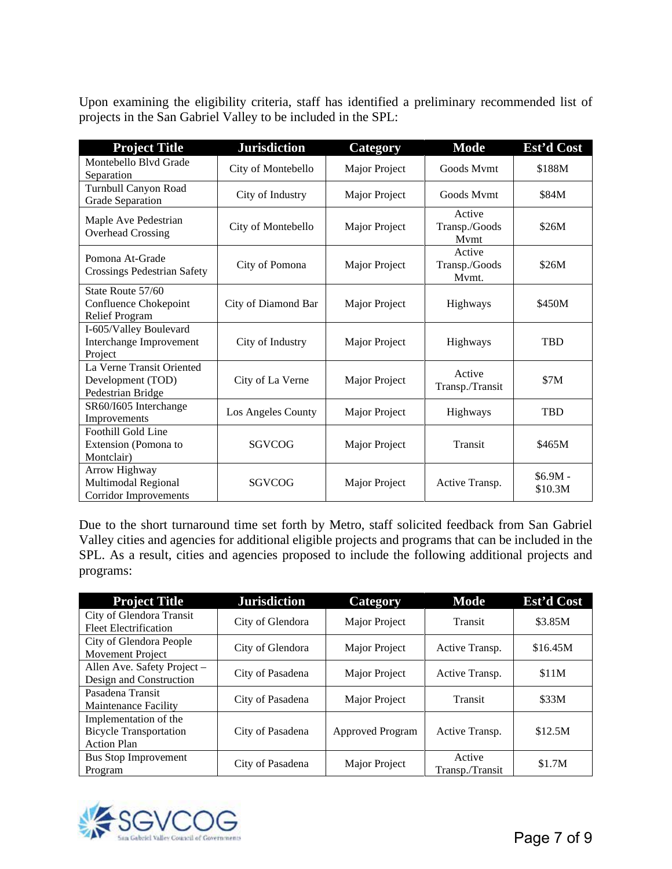Upon examining the eligibility criteria, staff has identified a preliminary recommended list of projects in the San Gabriel Valley to be included in the SPL:

| <b>Project Title</b>                                                 | <b>Jurisdiction</b> | <b>Category</b> | <b>Mode</b>                      | Est'd Cost           |
|----------------------------------------------------------------------|---------------------|-----------------|----------------------------------|----------------------|
| Montebello Blvd Grade<br>Separation                                  | City of Montebello  | Major Project   | Goods Mymt                       | \$188M               |
| Turnbull Canyon Road<br><b>Grade Separation</b>                      | City of Industry    | Major Project   | Goods Mymt                       | \$84M                |
| Maple Ave Pedestrian<br><b>Overhead Crossing</b>                     | City of Montebello  | Major Project   | Active<br>Transp./Goods<br>Mymt  | \$26M                |
| Pomona At-Grade<br><b>Crossings Pedestrian Safety</b>                | City of Pomona      | Major Project   | Active<br>Transp./Goods<br>Mvmt. | \$26M                |
| State Route 57/60<br>Confluence Chokepoint<br>Relief Program         | City of Diamond Bar | Major Project   | Highways                         | \$450M               |
| I-605/Valley Boulevard<br>Interchange Improvement<br>Project         | City of Industry    | Major Project   | Highways                         | <b>TBD</b>           |
| La Verne Transit Oriented<br>Development (TOD)<br>Pedestrian Bridge  | City of La Verne    | Major Project   | Active<br>Transp./Transit        | \$7M                 |
| SR60/I605 Interchange<br>Improvements                                | Los Angeles County  | Major Project   | Highways                         | <b>TBD</b>           |
| Foothill Gold Line<br>Extension (Pomona to<br>Montclair)             | SGVCOG              | Major Project   | Transit                          | \$465M               |
| Arrow Highway<br>Multimodal Regional<br><b>Corridor Improvements</b> | SGVCOG              | Major Project   | Active Transp.                   | $$6.9M -$<br>\$10.3M |

Due to the short turnaround time set forth by Metro, staff solicited feedback from San Gabriel Valley cities and agencies for additional eligible projects and programs that can be included in the SPL. As a result, cities and agencies proposed to include the following additional projects and programs:

| <b>Project Title</b>                                                         | <b>Jurisdiction</b> | Category                | <b>Mode</b>               | Est'd Cost |
|------------------------------------------------------------------------------|---------------------|-------------------------|---------------------------|------------|
| City of Glendora Transit<br><b>Fleet Electrification</b>                     | City of Glendora    | Major Project           | Transit                   | \$3.85M    |
| City of Glendora People<br>Movement Project                                  | City of Glendora    | Major Project           | Active Transp.            | \$16.45M   |
| Allen Ave. Safety Project -<br>Design and Construction                       | City of Pasadena    | Major Project           | Active Transp.            | \$11M      |
| Pasadena Transit<br>Maintenance Facility                                     | City of Pasadena    | Major Project           | Transit                   | \$33M      |
| Implementation of the<br><b>Bicycle Transportation</b><br><b>Action Plan</b> | City of Pasadena    | <b>Approved Program</b> | Active Transp.            | \$12.5M    |
| <b>Bus Stop Improvement</b><br>Program                                       | City of Pasadena    | Major Project           | Active<br>Transp./Transit | \$1.7M     |

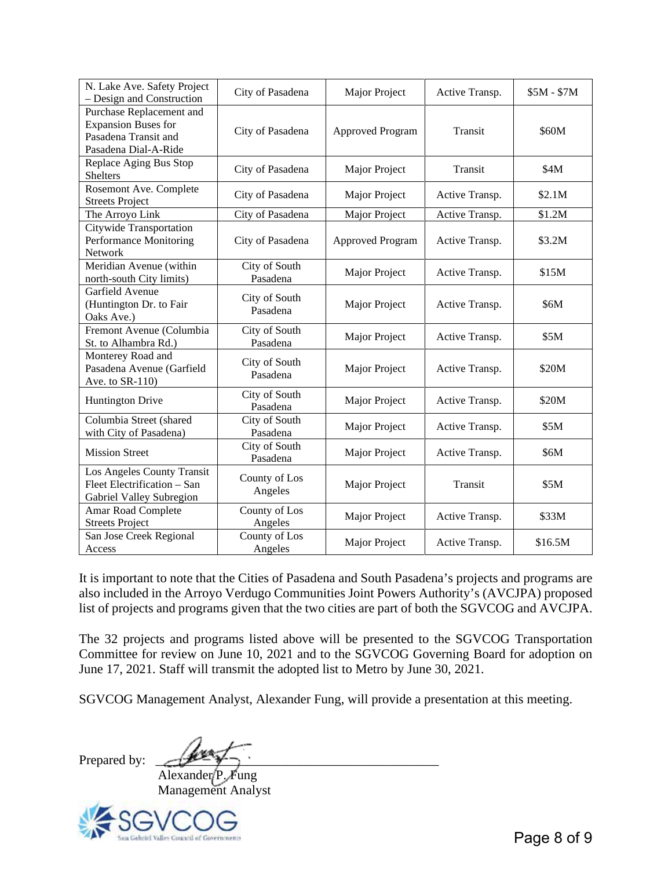| N. Lake Ave. Safety Project<br>- Design and Construction                                               | City of Pasadena          | Major Project    | Active Transp. | $$5M - $7M$ |
|--------------------------------------------------------------------------------------------------------|---------------------------|------------------|----------------|-------------|
| Purchase Replacement and<br><b>Expansion Buses for</b><br>Pasadena Transit and<br>Pasadena Dial-A-Ride | City of Pasadena          | Approved Program | <b>Transit</b> | \$60M       |
| Replace Aging Bus Stop<br><b>Shelters</b>                                                              | City of Pasadena          | Major Project    | Transit        | \$4M        |
| Rosemont Ave. Complete<br><b>Streets Project</b>                                                       | City of Pasadena          | Major Project    | Active Transp. | \$2.1M      |
| The Arroyo Link                                                                                        | City of Pasadena          | Major Project    | Active Transp. | \$1.2M      |
| Citywide Transportation<br>Performance Monitoring<br>Network                                           | City of Pasadena          | Approved Program | Active Transp. | \$3.2M      |
| Meridian Avenue (within<br>north-south City limits)                                                    | City of South<br>Pasadena | Major Project    | Active Transp. | \$15M       |
| Garfield Avenue<br>(Huntington Dr. to Fair<br>Oaks Ave.)                                               | City of South<br>Pasadena | Major Project    | Active Transp. | \$6M        |
| Fremont Avenue (Columbia<br>St. to Alhambra Rd.)                                                       | City of South<br>Pasadena | Major Project    | Active Transp. | \$5M        |
| Monterey Road and<br>Pasadena Avenue (Garfield<br>Ave. to SR-110)                                      | City of South<br>Pasadena | Major Project    | Active Transp. | \$20M       |
| <b>Huntington Drive</b>                                                                                | City of South<br>Pasadena | Major Project    | Active Transp. | \$20M       |
| Columbia Street (shared<br>with City of Pasadena)                                                      | City of South<br>Pasadena | Major Project    | Active Transp. | \$5M        |
| <b>Mission Street</b>                                                                                  | City of South<br>Pasadena | Major Project    | Active Transp. | \$6M        |
| Los Angeles County Transit<br>Fleet Electrification - San<br>Gabriel Valley Subregion                  | County of Los<br>Angeles  | Major Project    | Transit        | \$5M        |
| <b>Amar Road Complete</b><br><b>Streets Project</b>                                                    | County of Los<br>Angeles  | Major Project    | Active Transp. | \$33M       |
| San Jose Creek Regional<br>Access                                                                      | County of Los<br>Angeles  | Major Project    | Active Transp. | \$16.5M     |

It is important to note that the Cities of Pasadena and South Pasadena's projects and programs are also included in the Arroyo Verdugo Communities Joint Powers Authority's (AVCJPA) proposed list of projects and programs given that the two cities are part of both the SGVCOG and AVCJPA.

The 32 projects and programs listed above will be presented to the SGVCOG Transportation Committee for review on June 10, 2021 and to the SGVCOG Governing Board for adoption on June 17, 2021. Staff will transmit the adopted list to Metro by June 30, 2021.

SGVCOG Management Analyst, Alexander Fung, will provide a presentation at this meeting.

Prepared by:

Alexander<sup>(P.</sup> Fung)

Management Analyst